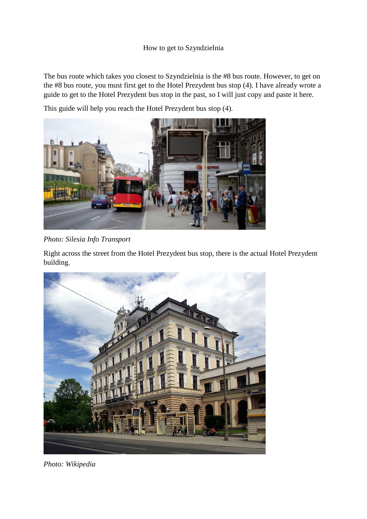## How to get to Szyndzielnia

The bus route which takes you closest to Szyndzielnia is the #8 bus route. However, to get on the #8 bus route, you must first get to the Hotel Prezydent bus stop (4). I have already wrote a guide to get to the Hotel Prezydent bus stop in the past, so I will just copy and paste it here.

This guide will help you reach the Hotel Prezydent bus stop (4).



*Photo: Silesia Info Transport*

Right across the street from the Hotel Prezydent bus stop, there is the actual Hotel Prezydent building.



*Photo: Wikipedia*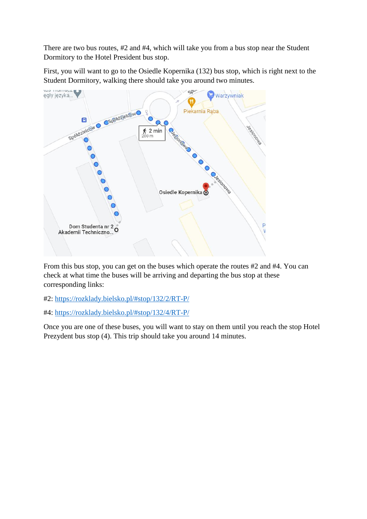There are two bus routes, #2 and #4, which will take you from a bus stop near the Student Dormitory to the Hotel President bus stop.

First, you will want to go to the Osiedle Kopernika (132) bus stop, which is right next to the Student Dormitory, walking there should take you around two minutes.



From this bus stop, you can get on the buses which operate the routes #2 and #4. You can check at what time the buses will be arriving and departing the bus stop at these corresponding links:

#2:<https://rozklady.bielsko.pl/#stop/132/2/RT-P/>

#4:<https://rozklady.bielsko.pl/#stop/132/4/RT-P/>

Once you are one of these buses, you will want to stay on them until you reach the stop Hotel Prezydent bus stop (4). This trip should take you around 14 minutes.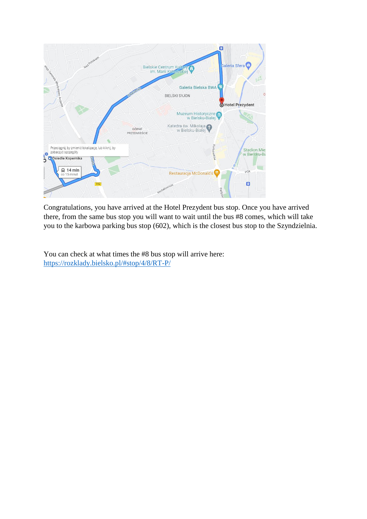

Congratulations, you have arrived at the Hotel Prezydent bus stop. Once you have arrived there, from the same bus stop you will want to wait until the bus #8 comes, which will take you to the karbowa parking bus stop (602), which is the closest bus stop to the Szyndzielnia.

You can check at what times the #8 bus stop will arrive here: <https://rozklady.bielsko.pl/#stop/4/8/RT-P/>